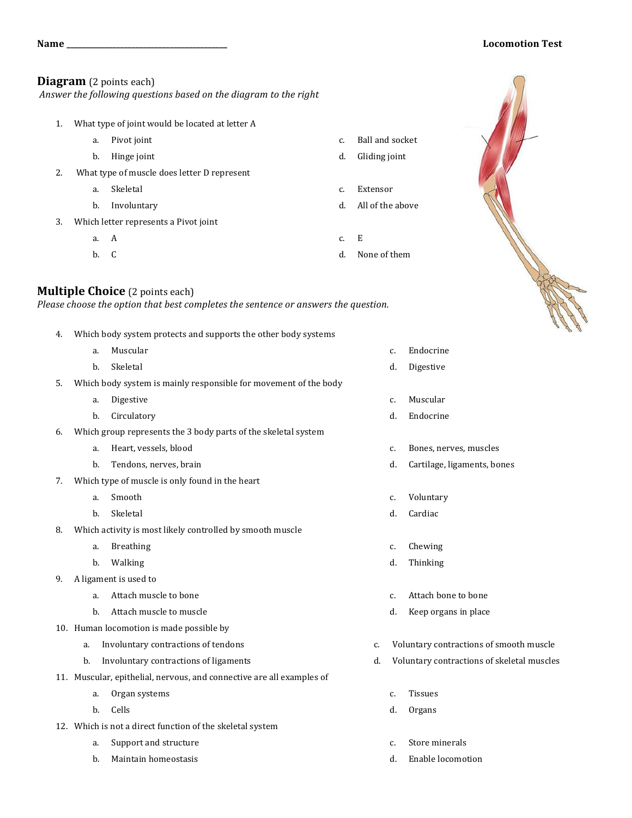## **Name \_\_\_\_\_\_\_\_\_\_\_\_\_\_\_\_\_\_\_\_\_\_\_\_\_\_\_\_\_\_\_\_\_\_\_\_\_\_\_\_\_\_ Locomotion Test**

## **Diagram** (2 points each)

Answer the following questions based on the diagram to the right

- 1. What type of joint would be located at letter A
	- a. Pivot joint
	- b. Hinge joint
- 2. What type of muscle does letter D represent
	- a. Skeletal
	- b. Involuntary
- 3. Which letter represents a Pivot joint
	- a. A
	- b. C

## **Multiple Choice** (2 points each)

*Please choose the option that best completes the sentence or answers the question.* 

- 4. Which body system protects and supports the other body systems
	- a. Muscular
	- b. Skeletal
- 5. Which body system is mainly responsible for movement of the body
	- a. Digestive
	- b. Circulatory
- 6. Which group represents the 3 body parts of the skeletal system
	- a. Heart, vessels, blood
	- b. Tendons, nerves, brain
- 7. Which type of muscle is only found in the heart
	- a. Smooth
	- b. Skeletal
- 8. Which activity is most likely controlled by smooth muscle
	- a. Breathing
	- b. Walking
- 9. A ligament is used to
	- a. Attach muscle to bone
	- b. Attach muscle to muscle
- 10. Human locomotion is made possible by
	- a. Involuntary contractions of tendons
	- b. Involuntary contractions of ligaments
- 11. Muscular, epithelial, nervous, and connective are all examples of
	- a. Organ systems
	- b. Cells
- 12. Which is not a direct function of the skeletal system
	- a. Support and structure
	- b. Maintain homeostasis
- c. Ball and socket d. Gliding joint
- c. Extensor
- d. All of the above
- c. E
- d. None of them



- c. Endocrine d. Digestive
- 
- c. Muscular
- d. Endocrine
- c. Bones, nerves, muscles
- d. Cartilage, ligaments, bones
- c. Voluntary
- d. Cardiac
- c. Chewing
- d. Thinking
- c. Attach bone to bone
- d. Keep organs in place
- c. Voluntary contractions of smooth muscle
- d. Voluntary contractions of skeletal muscles
	- c. Tissues
	- d. Organs
	- c. Store minerals
	- d. Enable locomotion